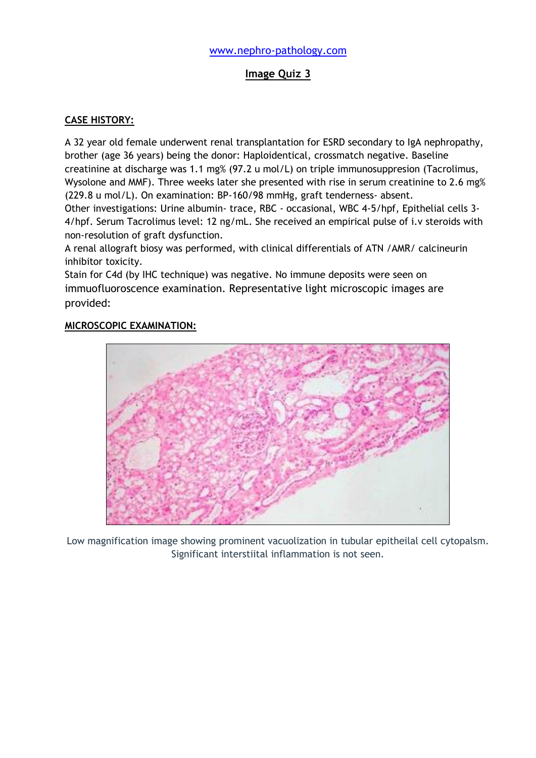## **Image Quiz 3**

#### **CASE HISTORY:**

A 32 year old female underwent renal transplantation for ESRD secondary to IgA nephropathy, brother (age 36 years) being the donor: Haploidentical, crossmatch negative. Baseline creatinine at discharge was 1.1 mg% (97.2 u mol/L) on triple immunosuppresion (Tacrolimus, Wysolone and MMF). Three weeks later she presented with rise in serum creatinine to 2.6 mg% (229.8 u mol/L). On examination: BP-160/98 mmHg, graft tenderness- absent.

Other investigations: Urine albumin- trace, RBC - occasional, WBC 4-5/hpf, Epithelial cells 3- 4/hpf. Serum Tacrolimus level: 12 ng/mL. She received an empirical pulse of i.v steroids with non-resolution of graft dysfunction.

A renal allograft biosy was performed, with clinical differentials of ATN /AMR/ calcineurin inhibitor toxicity.

Stain for C4d (by IHC technique) was negative. No immune deposits were seen on immuofluoroscence examination. Representative light microscopic images are provided:

#### **MICROSCOPIC EXAMINATION:**



Low magnification image showing prominent vacuolization in tubular epitheilal cell cytopalsm. Significant interstiital inflammation is not seen.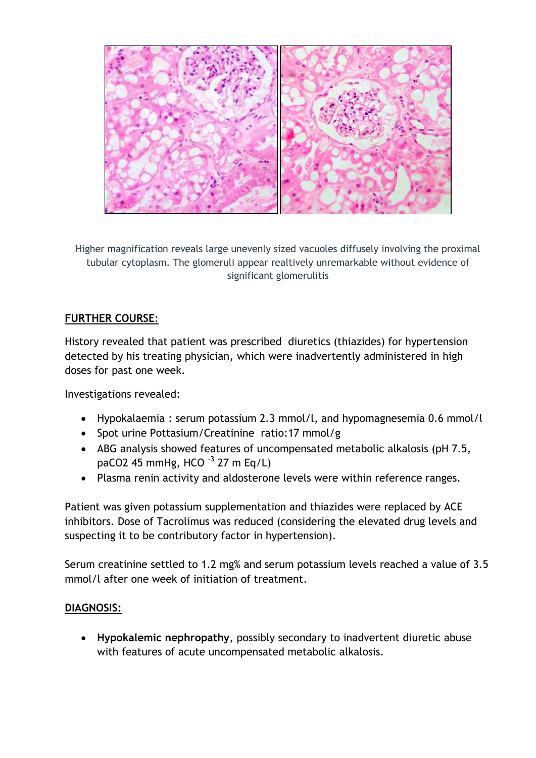

Higher magnification reveals large unevenly sized vacuoles diffusely involving the proximal tubular cytoplasm. The glomeruli appear realtively unremarkable without evidence of significant glomerulitis

# **FURTHER COURSE**:

History revealed that patient was prescribed diuretics (thiazides) for hypertension detected by his treating physician, which were inadvertently administered in high doses for past one week.

Investigations revealed:

- Hypokalaemia : serum potassium 2.3 mmol/l, and hypomagnesemia 0.6 mmol/l
- Spot urine Pottasium/Creatinine ratio:17 mmol/g
- ABG analysis showed features of uncompensated metabolic alkalosis (pH 7.5, paCO2 45 mmHg, HCO  $^{-3}$  27 m Eq/L)
- Plasma renin activity and aldosterone levels were within reference ranges.

Patient was given potassium supplementation and thiazides were replaced by ACE inhibitors. Dose of Tacrolimus was reduced (considering the elevated drug levels and suspecting it to be contributory factor in hypertension).

Serum creatinine settled to 1.2 mg% and serum potassium levels reached a value of 3.5 mmol/l after one week of initiation of treatment.

# **DIAGNOSIS:**

 **Hypokalemic nephropathy**, possibly secondary to inadvertent diuretic abuse with features of acute uncompensated metabolic alkalosis.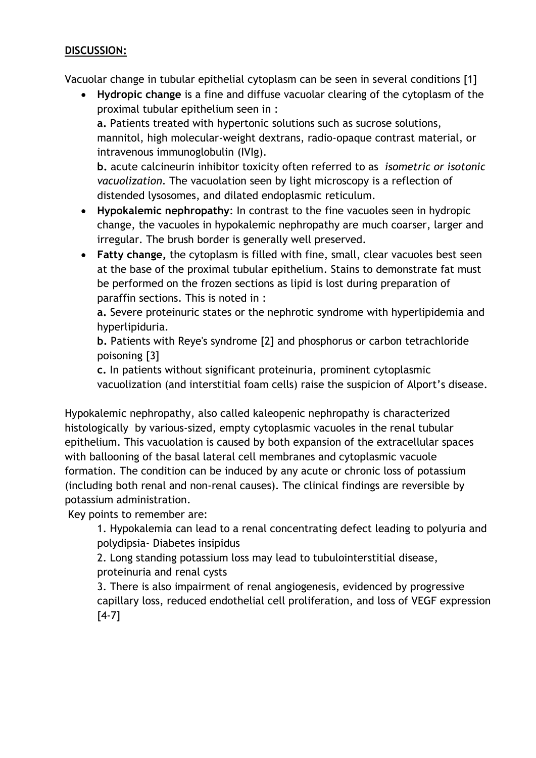## **DISCUSSION:**

Vacuolar change in tubular epithelial cytoplasm can be seen in several conditions [1]

 **Hydropic change** is a fine and diffuse vacuolar clearing of the cytoplasm of the proximal tubular epithelium seen in :

**a.** Patients treated with hypertonic solutions such as sucrose solutions, mannitol, high molecular-weight dextrans, radio-opaque contrast material, or intravenous immunoglobulin (IVIg).

**b.** acute calcineurin inhibitor toxicity often referred to as *isometric or isotonic vacuolization*. The vacuolation seen by light microscopy is a reflection of distended lysosomes, and dilated endoplasmic reticulum.

- **Hypokalemic nephropathy**: In contrast to the fine vacuoles seen in hydropic change, the vacuoles in hypokalemic nephropathy are much coarser, larger and irregular. The brush border is generally well preserved.
- **Fatty change,** the cytoplasm is filled with fine, small, clear vacuoles best seen at the base of the proximal tubular epithelium. Stains to demonstrate fat must be performed on the frozen sections as lipid is lost during preparation of paraffin sections. This is noted in :

**a.** Severe proteinuric states or the nephrotic syndrome with hyperlipidemia and hyperlipiduria.

**b.** Patients with Reye's syndrome [2] and phosphorus or carbon tetrachloride poisoning [3]

**c.** In patients without significant proteinuria, prominent cytoplasmic vacuolization (and interstitial foam cells) raise the suspicion of Alport's disease.

Hypokalemic nephropathy, also called kaleopenic nephropathy is characterized histologically by various-sized, empty cytoplasmic vacuoles in the renal tubular epithelium. This vacuolation is caused by both expansion of the extracellular spaces with ballooning of the basal lateral cell membranes and cytoplasmic vacuole formation. The condition can be induced by any acute or chronic loss of potassium (including both renal and non-renal causes). The clinical findings are reversible by potassium administration.

Key points to remember are:

1. Hypokalemia can lead to a renal concentrating defect leading to polyuria and polydipsia- Diabetes insipidus

2. Long standing potassium loss may lead to tubulointerstitial disease, proteinuria and renal cysts

3. There is also impairment of renal angiogenesis, evidenced by progressive capillary loss, reduced endothelial cell proliferation, and loss of VEGF expression [4-7]